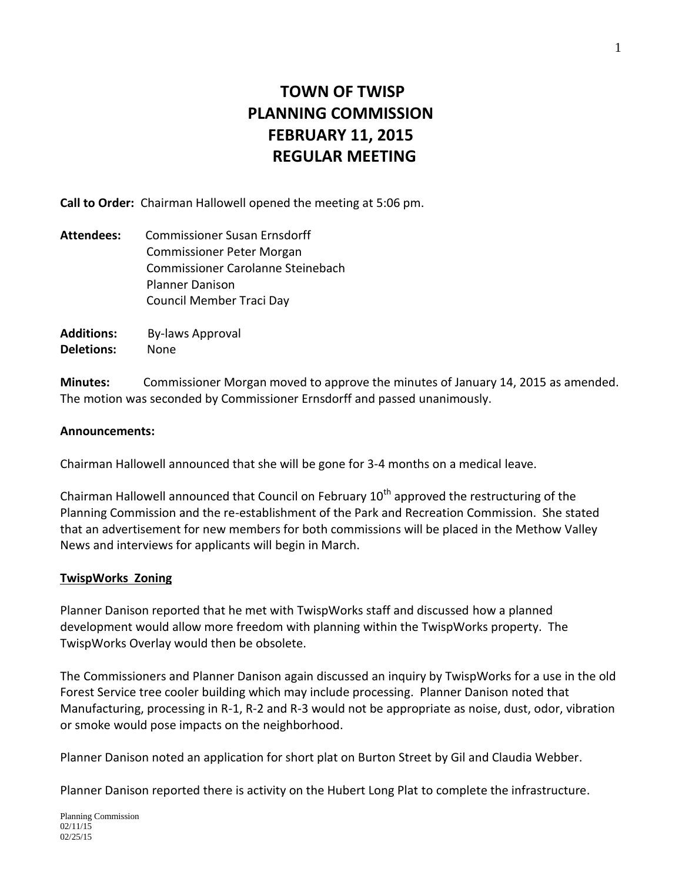# **TOWN OF TWISP PLANNING COMMISSION FEBRUARY 11, 2015 REGULAR MEETING**

**Call to Order:** Chairman Hallowell opened the meeting at 5:06 pm.

- **Attendees:** Commissioner Susan Ernsdorff Commissioner Peter Morgan Commissioner Carolanne Steinebach Planner Danison Council Member Traci Day
- **Additions:** By-laws Approval **Deletions:** None

**Minutes:** Commissioner Morgan moved to approve the minutes of January 14, 2015 as amended. The motion was seconded by Commissioner Ernsdorff and passed unanimously.

## **Announcements:**

Chairman Hallowell announced that she will be gone for 3-4 months on a medical leave.

Chairman Hallowell announced that Council on February  $10<sup>th</sup>$  approved the restructuring of the Planning Commission and the re-establishment of the Park and Recreation Commission. She stated that an advertisement for new members for both commissions will be placed in the Methow Valley News and interviews for applicants will begin in March.

## **TwispWorks Zoning**

Planner Danison reported that he met with TwispWorks staff and discussed how a planned development would allow more freedom with planning within the TwispWorks property. The TwispWorks Overlay would then be obsolete.

The Commissioners and Planner Danison again discussed an inquiry by TwispWorks for a use in the old Forest Service tree cooler building which may include processing. Planner Danison noted that Manufacturing, processing in R-1, R-2 and R-3 would not be appropriate as noise, dust, odor, vibration or smoke would pose impacts on the neighborhood.

Planner Danison noted an application for short plat on Burton Street by Gil and Claudia Webber.

Planner Danison reported there is activity on the Hubert Long Plat to complete the infrastructure.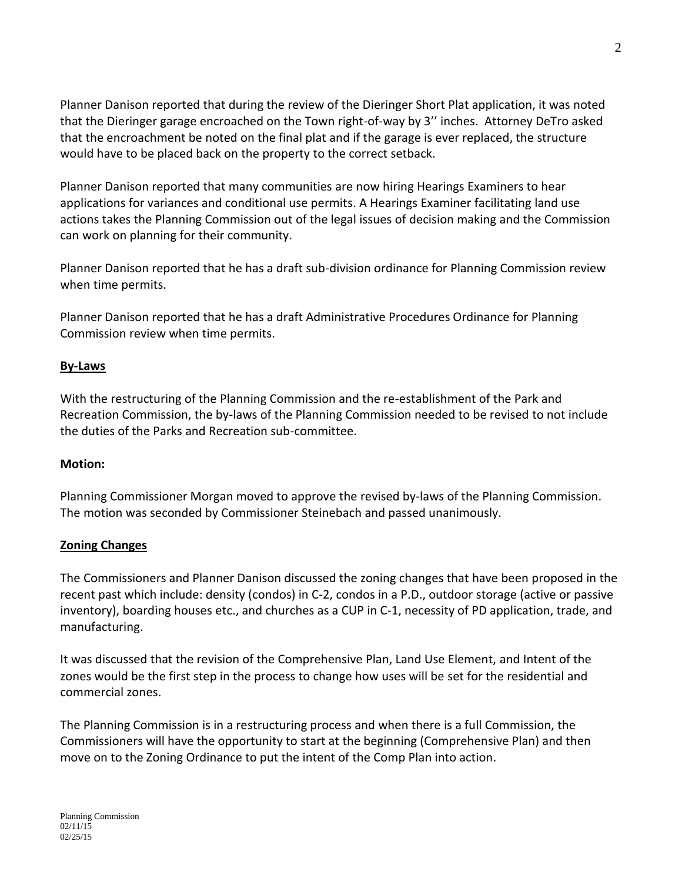Planner Danison reported that during the review of the Dieringer Short Plat application, it was noted that the Dieringer garage encroached on the Town right-of-way by 3'' inches. Attorney DeTro asked that the encroachment be noted on the final plat and if the garage is ever replaced, the structure would have to be placed back on the property to the correct setback.

Planner Danison reported that many communities are now hiring Hearings Examiners to hear applications for variances and conditional use permits. A Hearings Examiner facilitating land use actions takes the Planning Commission out of the legal issues of decision making and the Commission can work on planning for their community.

Planner Danison reported that he has a draft sub-division ordinance for Planning Commission review when time permits.

Planner Danison reported that he has a draft Administrative Procedures Ordinance for Planning Commission review when time permits.

## **By-Laws**

With the restructuring of the Planning Commission and the re-establishment of the Park and Recreation Commission, the by-laws of the Planning Commission needed to be revised to not include the duties of the Parks and Recreation sub-committee.

## **Motion:**

Planning Commissioner Morgan moved to approve the revised by-laws of the Planning Commission. The motion was seconded by Commissioner Steinebach and passed unanimously.

## **Zoning Changes**

The Commissioners and Planner Danison discussed the zoning changes that have been proposed in the recent past which include: density (condos) in C-2, condos in a P.D., outdoor storage (active or passive inventory), boarding houses etc., and churches as a CUP in C-1, necessity of PD application, trade, and manufacturing.

It was discussed that the revision of the Comprehensive Plan, Land Use Element, and Intent of the zones would be the first step in the process to change how uses will be set for the residential and commercial zones.

The Planning Commission is in a restructuring process and when there is a full Commission, the Commissioners will have the opportunity to start at the beginning (Comprehensive Plan) and then move on to the Zoning Ordinance to put the intent of the Comp Plan into action.